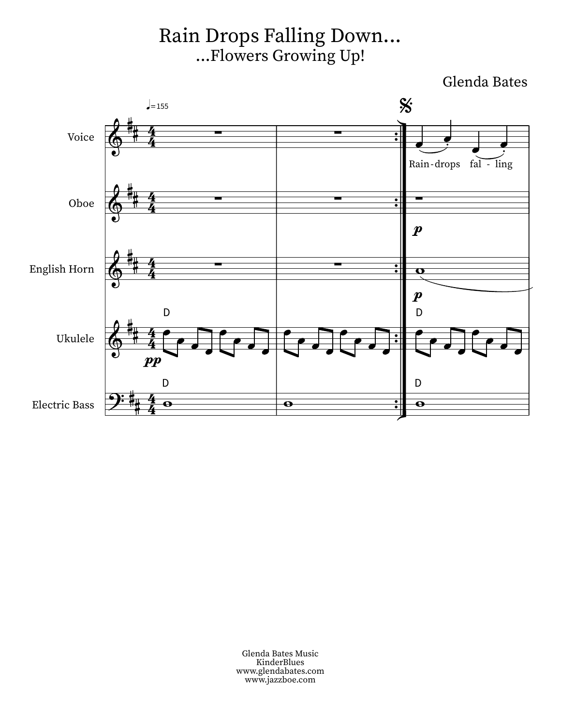

Glenda Bates Music KinderBlues www.glendabates.com www.jazzboe.com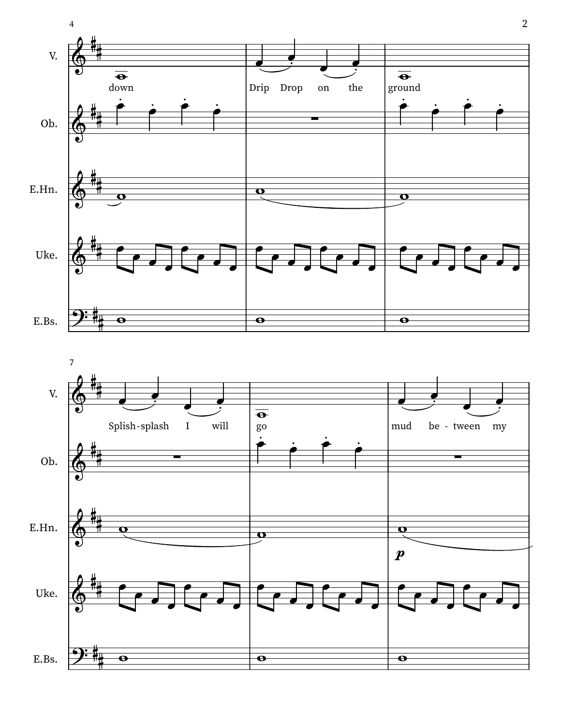

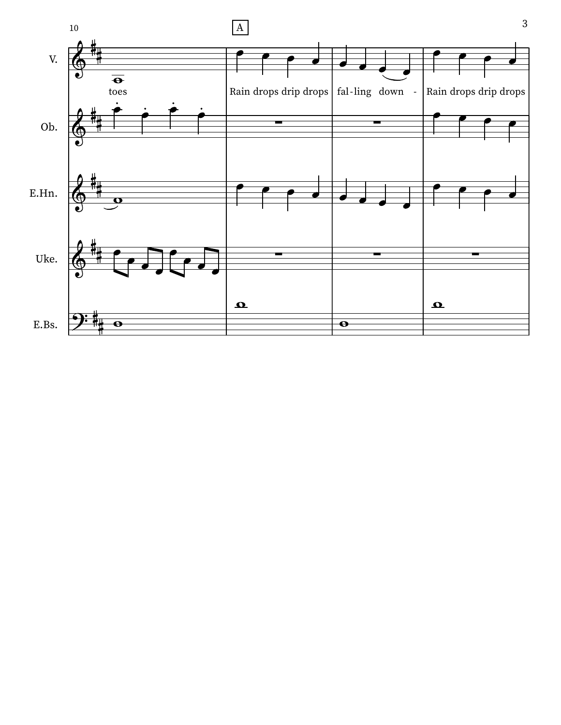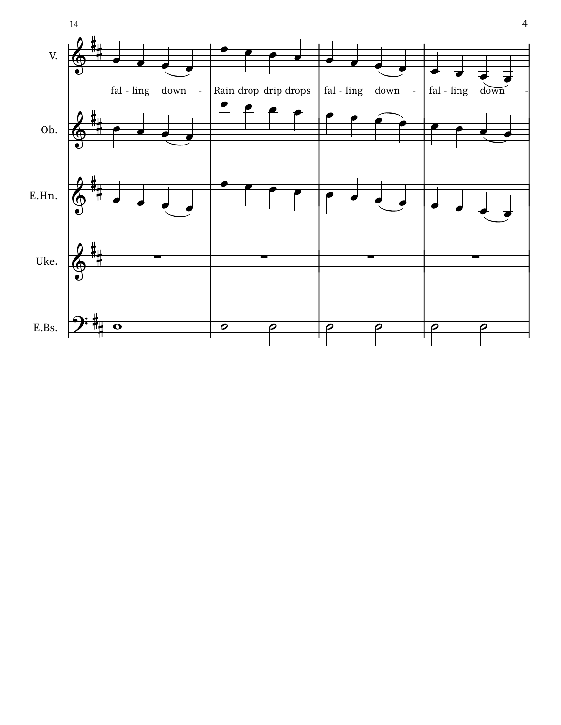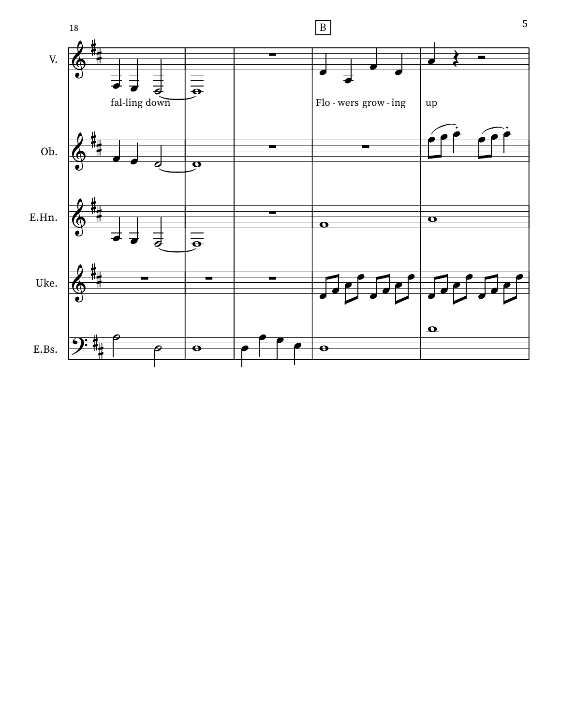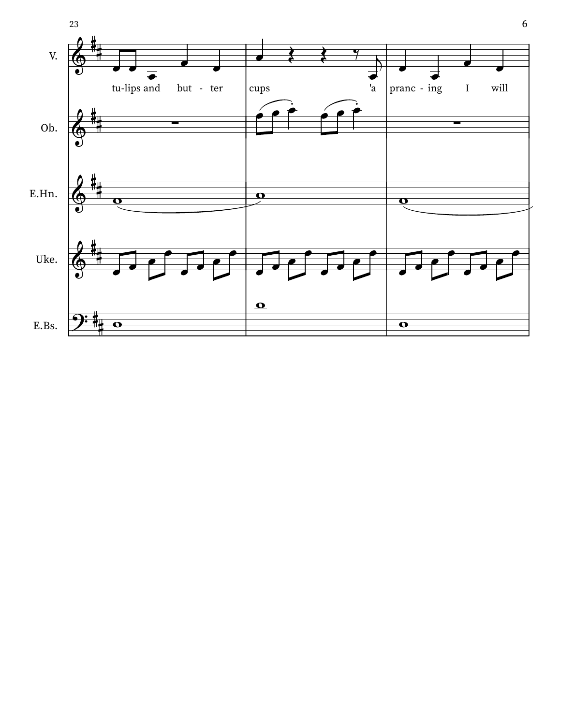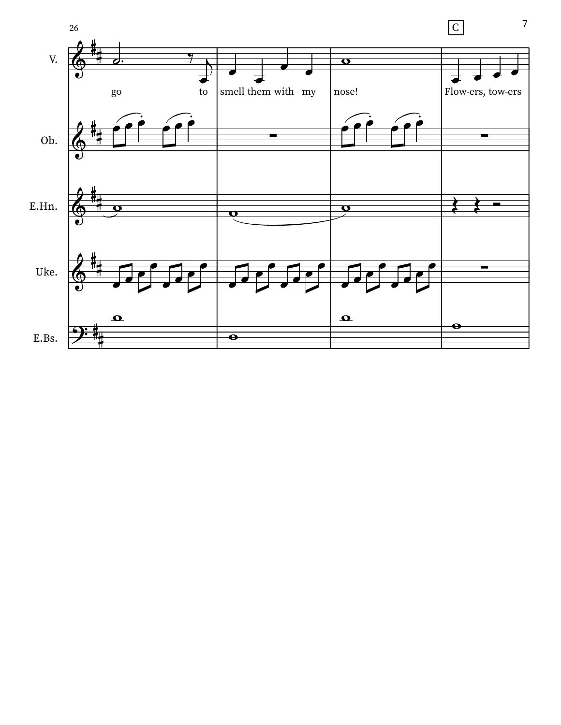

 $\overline{7}$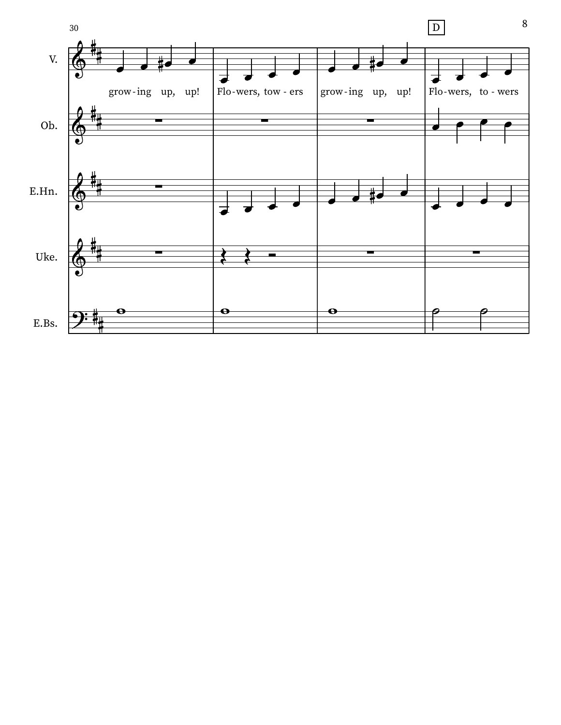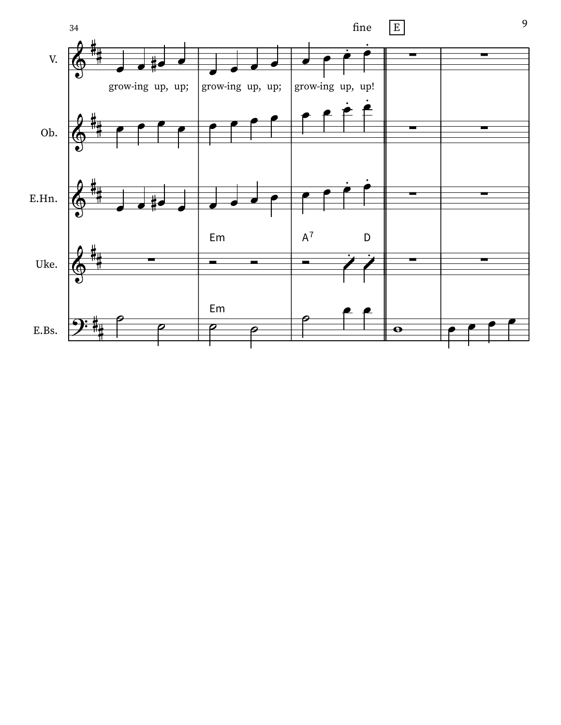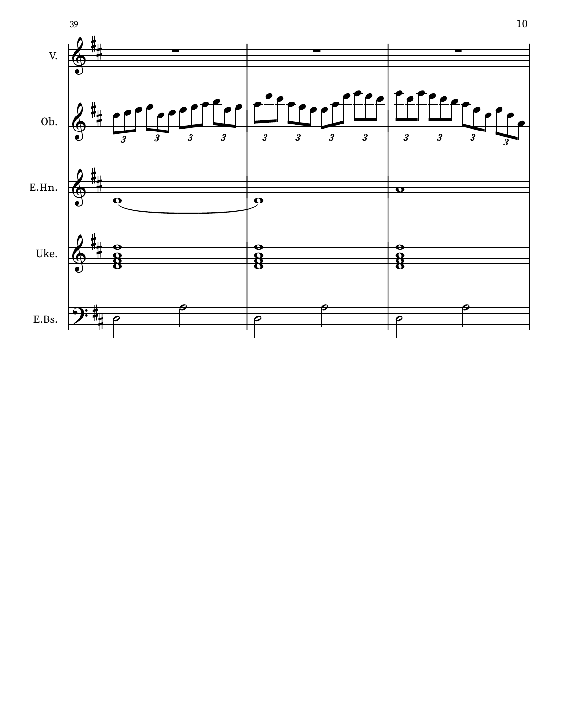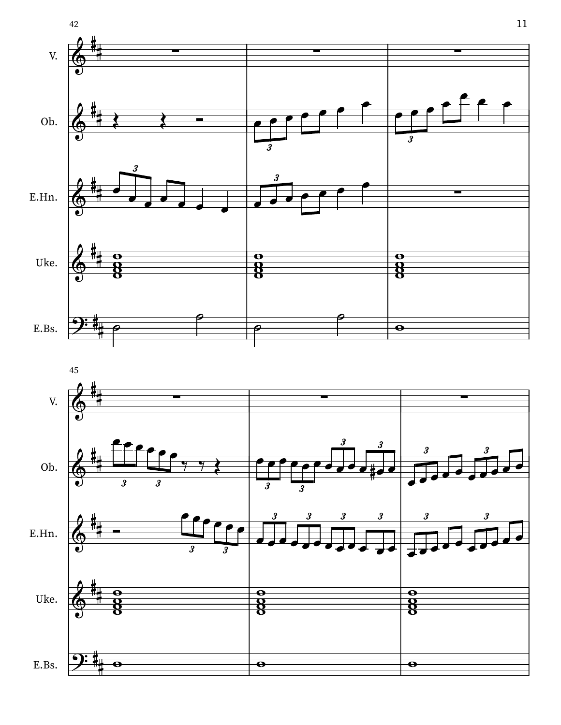